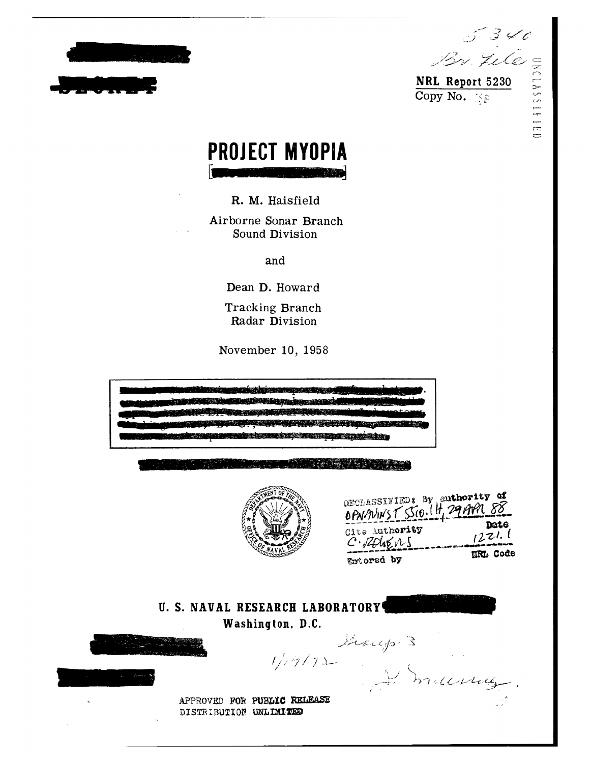



## **PROJECT MYOPIA**

R. M. Haisfield

Airborne Sonar Branch Sound Division

and

Dean D. Howard

Tracking Branch Radar Division

November 10, 1958



| DECLASSIFIED: By authority of<br>OPNININST STO. (H, 29 AM 88 |                       |
|--------------------------------------------------------------|-----------------------|
| Cite Authority<br>$C \cdot \mathbb{Z}$ Dar $N$               | <b>Data</b><br>1221.1 |
| Entered by                                                   | <b>NRL</b> Code       |

U. S. NAVAL RESEARCH LABORATORY Washington, D.C.  $\frac{1}{4}$ 

APPROVED FOR PUBLIC RELEASE DISTRIBUTION UNLIMITED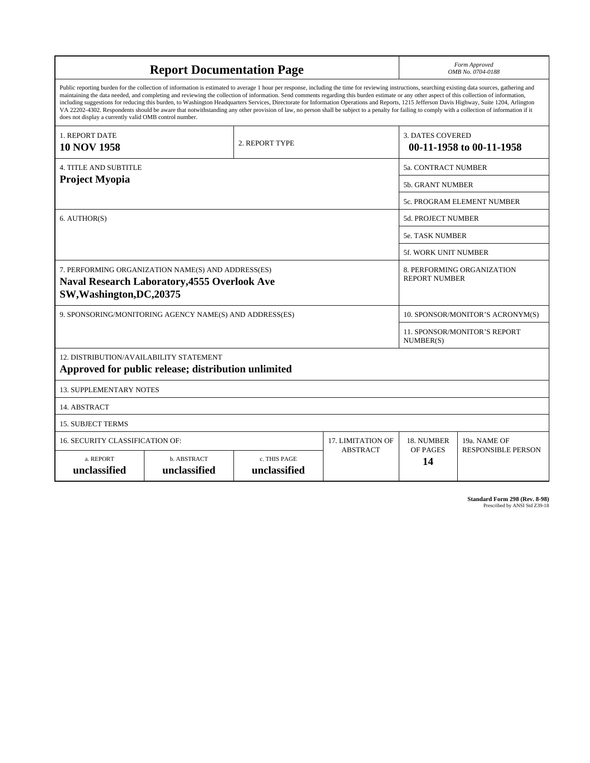| <b>Report Documentation Page</b>                                                                                                                                                                                                                                                                                                                                                                                                                                                                                                                                                                                                                                                                                                                                                                                                                                   |                             |                              |                                  | Form Approved<br>OMB No. 0704-0188                  |                           |  |  |
|--------------------------------------------------------------------------------------------------------------------------------------------------------------------------------------------------------------------------------------------------------------------------------------------------------------------------------------------------------------------------------------------------------------------------------------------------------------------------------------------------------------------------------------------------------------------------------------------------------------------------------------------------------------------------------------------------------------------------------------------------------------------------------------------------------------------------------------------------------------------|-----------------------------|------------------------------|----------------------------------|-----------------------------------------------------|---------------------------|--|--|
| Public reporting burden for the collection of information is estimated to average 1 hour per response, including the time for reviewing instructions, searching existing data sources, gathering and<br>maintaining the data needed, and completing and reviewing the collection of information. Send comments regarding this burden estimate or any other aspect of this collection of information,<br>including suggestions for reducing this burden, to Washington Headquarters Services, Directorate for Information Operations and Reports, 1215 Jefferson Davis Highway, Suite 1204, Arlington<br>VA 22202-4302. Respondents should be aware that notwithstanding any other provision of law, no person shall be subject to a penalty for failing to comply with a collection of information if it<br>does not display a currently valid OMB control number. |                             |                              |                                  |                                                     |                           |  |  |
| 1. REPORT DATE<br><b>10 NOV 1958</b>                                                                                                                                                                                                                                                                                                                                                                                                                                                                                                                                                                                                                                                                                                                                                                                                                               |                             | 2. REPORT TYPE               |                                  | <b>3. DATES COVERED</b><br>00-11-1958 to 00-11-1958 |                           |  |  |
| <b>4. TITLE AND SUBTITLE</b>                                                                                                                                                                                                                                                                                                                                                                                                                                                                                                                                                                                                                                                                                                                                                                                                                                       |                             |                              |                                  | 5a. CONTRACT NUMBER                                 |                           |  |  |
| <b>Project Myopia</b>                                                                                                                                                                                                                                                                                                                                                                                                                                                                                                                                                                                                                                                                                                                                                                                                                                              |                             |                              | <b>5b. GRANT NUMBER</b>          |                                                     |                           |  |  |
|                                                                                                                                                                                                                                                                                                                                                                                                                                                                                                                                                                                                                                                                                                                                                                                                                                                                    |                             |                              |                                  | 5c. PROGRAM ELEMENT NUMBER                          |                           |  |  |
| 6. AUTHOR(S)                                                                                                                                                                                                                                                                                                                                                                                                                                                                                                                                                                                                                                                                                                                                                                                                                                                       |                             |                              | <b>5d. PROJECT NUMBER</b>        |                                                     |                           |  |  |
|                                                                                                                                                                                                                                                                                                                                                                                                                                                                                                                                                                                                                                                                                                                                                                                                                                                                    |                             |                              | <b>5e. TASK NUMBER</b>           |                                                     |                           |  |  |
|                                                                                                                                                                                                                                                                                                                                                                                                                                                                                                                                                                                                                                                                                                                                                                                                                                                                    |                             |                              |                                  | 5f. WORK UNIT NUMBER                                |                           |  |  |
| 7. PERFORMING ORGANIZATION NAME(S) AND ADDRESS(ES)<br><b>Naval Research Laboratory, 4555 Overlook Ave</b><br>SW, Washington, DC, 20375                                                                                                                                                                                                                                                                                                                                                                                                                                                                                                                                                                                                                                                                                                                             |                             |                              |                                  | 8. PERFORMING ORGANIZATION<br><b>REPORT NUMBER</b>  |                           |  |  |
| 9. SPONSORING/MONITORING AGENCY NAME(S) AND ADDRESS(ES)                                                                                                                                                                                                                                                                                                                                                                                                                                                                                                                                                                                                                                                                                                                                                                                                            |                             |                              | 10. SPONSOR/MONITOR'S ACRONYM(S) |                                                     |                           |  |  |
|                                                                                                                                                                                                                                                                                                                                                                                                                                                                                                                                                                                                                                                                                                                                                                                                                                                                    |                             |                              |                                  | <b>11. SPONSOR/MONITOR'S REPORT</b><br>NUMBER(S)    |                           |  |  |
| 12. DISTRIBUTION/AVAILABILITY STATEMENT<br>Approved for public release; distribution unlimited                                                                                                                                                                                                                                                                                                                                                                                                                                                                                                                                                                                                                                                                                                                                                                     |                             |                              |                                  |                                                     |                           |  |  |
| <b>13. SUPPLEMENTARY NOTES</b>                                                                                                                                                                                                                                                                                                                                                                                                                                                                                                                                                                                                                                                                                                                                                                                                                                     |                             |                              |                                  |                                                     |                           |  |  |
| 14. ABSTRACT                                                                                                                                                                                                                                                                                                                                                                                                                                                                                                                                                                                                                                                                                                                                                                                                                                                       |                             |                              |                                  |                                                     |                           |  |  |
| <b>15. SUBJECT TERMS</b>                                                                                                                                                                                                                                                                                                                                                                                                                                                                                                                                                                                                                                                                                                                                                                                                                                           |                             |                              |                                  |                                                     |                           |  |  |
| 16. SECURITY CLASSIFICATION OF:<br>17. LIMITATION OF                                                                                                                                                                                                                                                                                                                                                                                                                                                                                                                                                                                                                                                                                                                                                                                                               |                             |                              | 18. NUMBER                       | 19a. NAME OF                                        |                           |  |  |
| a. REPORT<br>unclassified                                                                                                                                                                                                                                                                                                                                                                                                                                                                                                                                                                                                                                                                                                                                                                                                                                          | b. ABSTRACT<br>unclassified | c. THIS PAGE<br>unclassified | <b>ABSTRACT</b>                  | OF PAGES<br>14                                      | <b>RESPONSIBLE PERSON</b> |  |  |

**Standard Form 298 (Rev. 8-98)**<br>Prescribed by ANSI Std Z39-18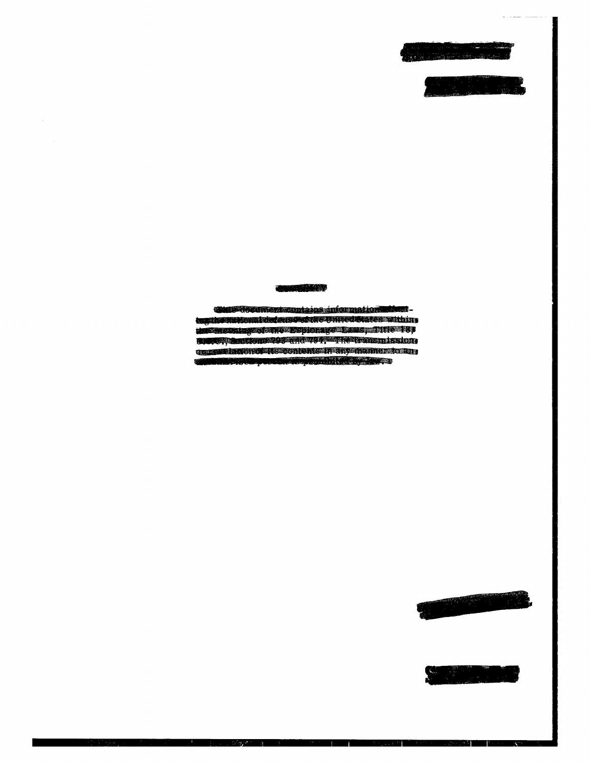a a sa taona 2014.<br>Is fitte dicti ako la

#### **COMMERCIAL**

Constitution of Mission Children and The Mission

 $\mathbf{E} = \mathbf{E}$ 





- 11

 $\mathcal{A}^{\mathcal{A}}$ 

 $\sim$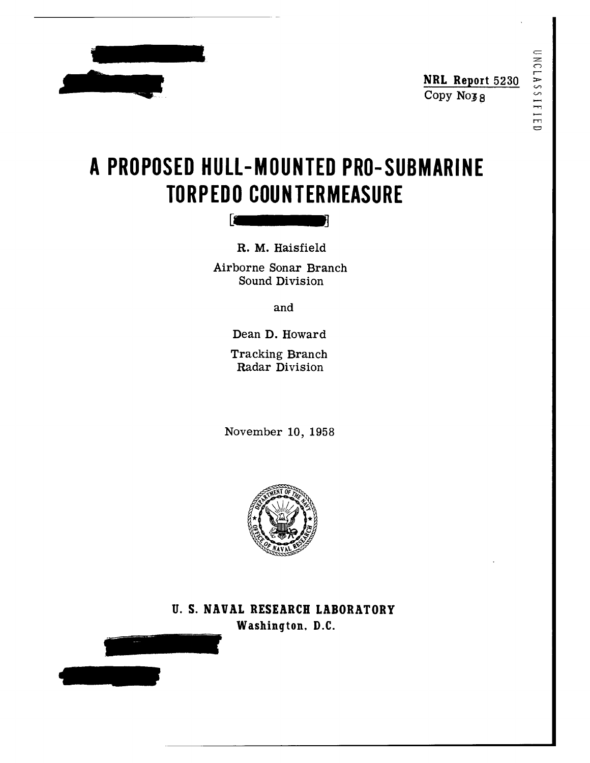

**NRL Report** 5230 Copy No38

# **A PROPOSED HULL-MOUNTED PRO-SUBMARINE TORPEDO COUNTERMEASURE**

R. M. Haisfield

 $\sim$ 

Airborne Sonar Branch Sound Division

and

Dean D. Howard

Tracking Branch Radar Division

November 10, 1958



U. **S. NAVAL RESEARCH LABORATORY** Washington, **D.C.**



I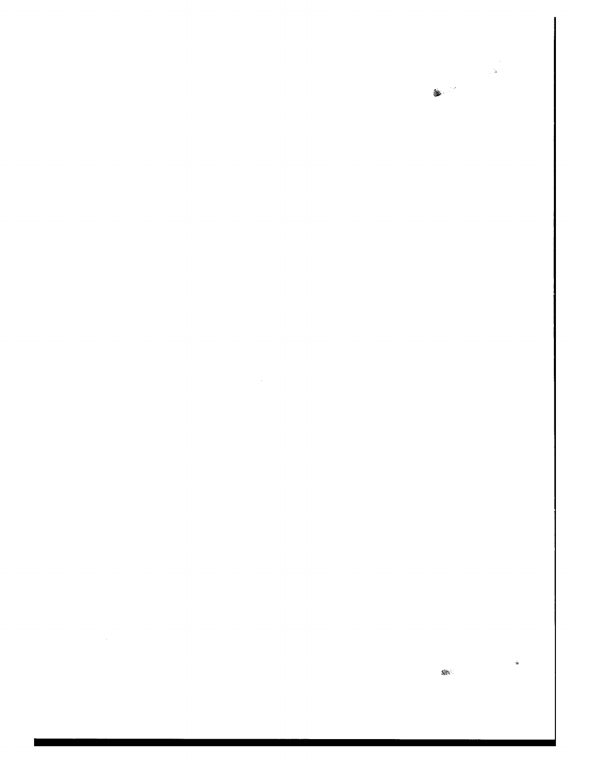龜

 $\tilde{\mathbf{a}}$ 

 $\frac{d\mathbf{q}}{d\mathbf{q}}$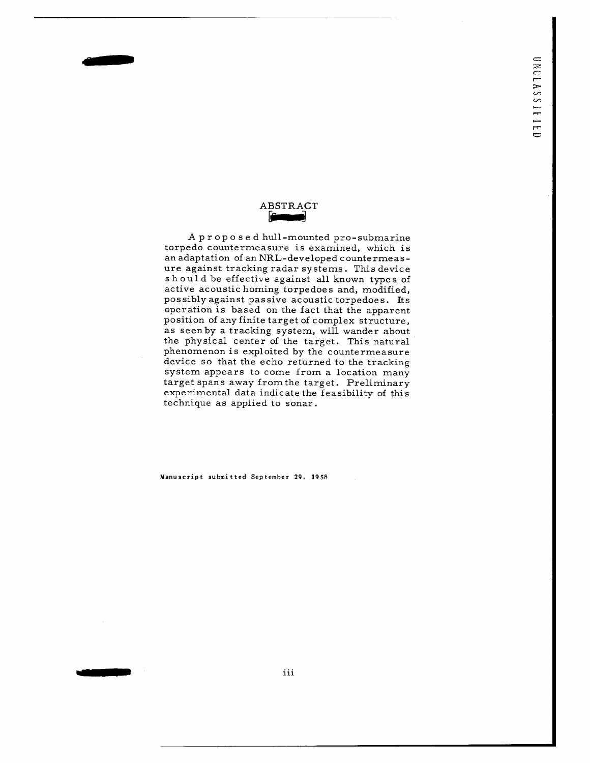**UNCLASSIFIED** 

#### ABSTRACT e

A propo se d hull -mounted pro -submarine torpedo countermeasure is examined, which is an adaptation of an NRL-developed countermeasure against tracking radar systems. This device should be effective against all known types of active acoustichoming torpedoes and, modified, possibly against passive acoustic torpedoes. Its operation is based on the fact that the apparent position of any finite target of complex structure, as seenby a tracking system, will wander about the physical center of the target. This natural phenomenon is exploited by the countermeasure<br>device so that the echo returned to the tracking system appears to come from a location many<br>target spans away from the target. Preliminary<br>experimental data indicate the feasibility of this technique as applied to sonar.

**Manuscript** submitted September **29,** 1958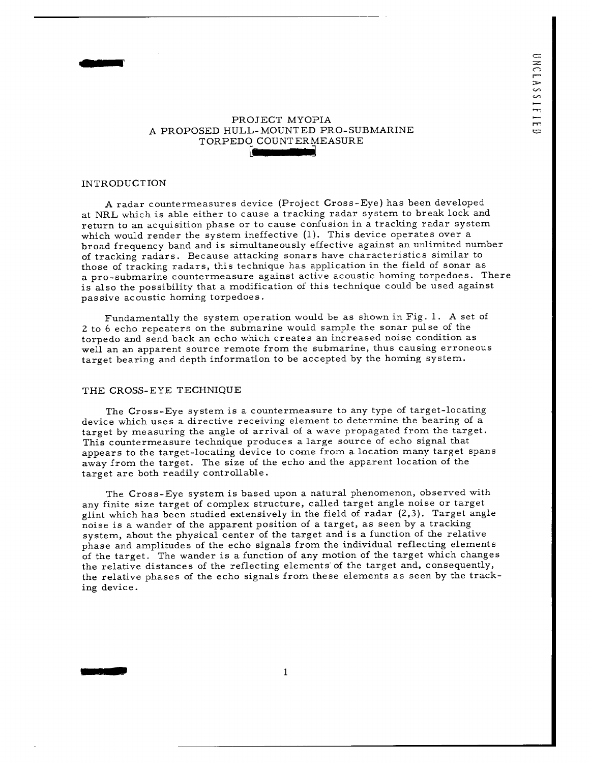### PROJECT MYOPIA A PROPOSED HULL-MOUNTED PRO-SUBMARINE TORPEDO COUNTERMEASURE

#### INTRODUCT ION

A radar countermeasures device (Project Cross-Eye) has been developed at NRL which is able either to cause a tracking radar system to break lock and return to an acquisition phase or to cause confusion in a tracking radar system which would render the system ineffective (1). This device operates over a broad frequency band and is simultaneously effective against an unlimited number of tracking radars. Because attacking sonars have characteristics similar to those of tracking radars, this technique has application in the field of sonar as a pro-submarine countermeasure against active acoustic homing torpedoes. There is also the possibility that a modification of this technique could be used against passive acoustic homing torpedoes.

Fundamentally the system operation would be as shown in Fig. 1. A set of 2 to 6 echo repeaters on the submarine would sample the sonar pulse of the torpedo and send back an echo which creates an increased noise condition as well an an apparent source remote from the submarine, thus causing erroneous target bearing and depth information to be accepted by the homing system.

#### THE CROSS-EYE TECHNIQUE

The Cross-Eye system is a countermeasure to any type of target-locating device which uses a directive receiving element to determine the bearing of a target by measuring the angle of arrival of a wave propagated from the target. This countermeasure technique produces a large source of echo signal that appears to the target-locating device to come from a location many target spans away from the target. The size of the echo and the apparent location of the target are both readily controllable.

The Cross-Eye system is based upon a natural phenomenon, observed with any finite size target of complex structure, called target angle noise or target glint which has been studied extensively in the field of radar (2,3). Target angle noise is a wander of the apparent position of a target, as seen by a tracking system, about the physical center of the target and is a function of the relative phase and amplitudes of the echo signals from the individual reflecting elements of the target. The wander is a function of any motion of the target which changes the relative distances of the reflecting elements of the target and, consequently, the relative phases of the echo signals from these elements as seen by the tracking device.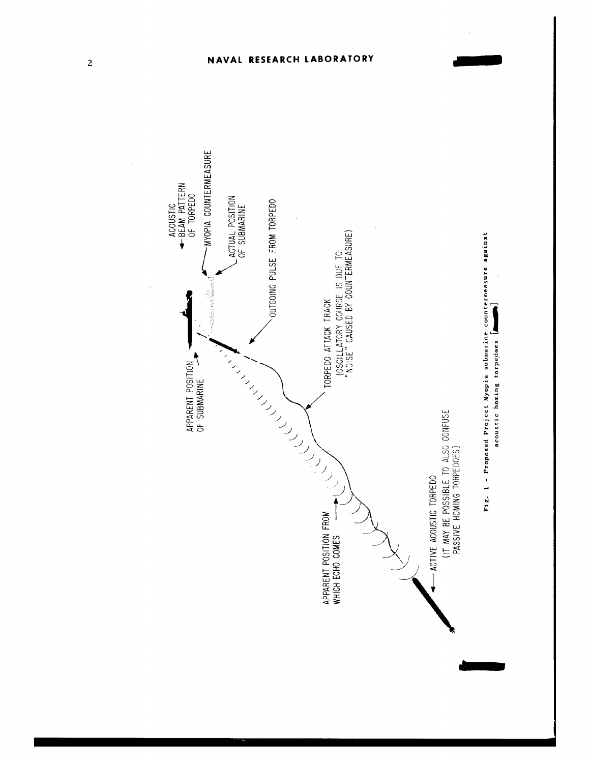$\epsilon$ 

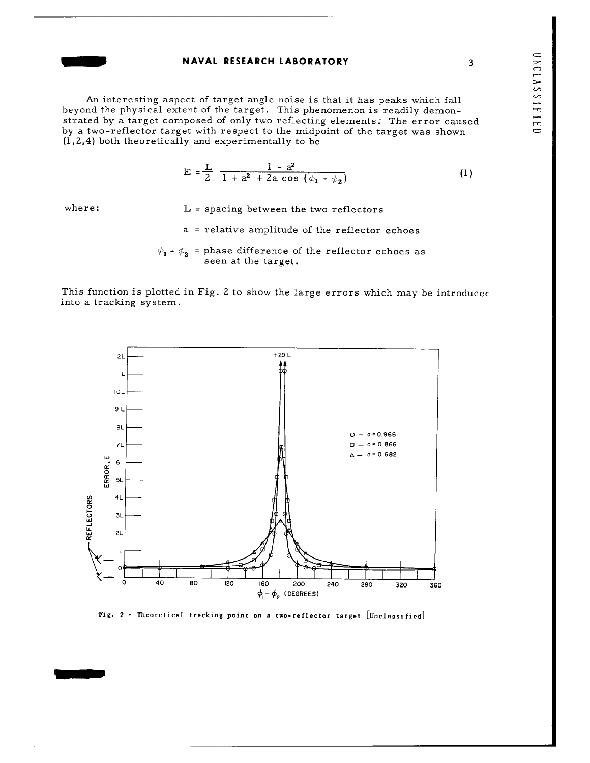NAVAL RESEARCH LABORATORY

An interesting aspect of target angle noise is that it has peaks which fall beyond the physical extent of the target. This phenomenon is readily demonstrated by a target composed of only two reflecting elements. The error caused by a two-reflector target with respect to the midpoint of the target was shown  $(1,2,4)$  both theoretically and experimentally to be

$$
E = \frac{L}{2} \frac{1 - a^2}{1 + a^2 + 2a \cos(\phi_1 - \phi_2)}
$$
 (1)

where:

 $L =$  spacing between the two reflectors

a = relative amplitude of the reflector echoes

 $\phi_1$  -  $\phi_2$  = phase difference of the reflector echoes as seen at the target.

This function is plotted in Fig. 2 to show the large errors which may be introduced into a tracking system.



Fig. 2 - Theoretical tracking point on a two-reflector target [Unclassified]

 $\overline{3}$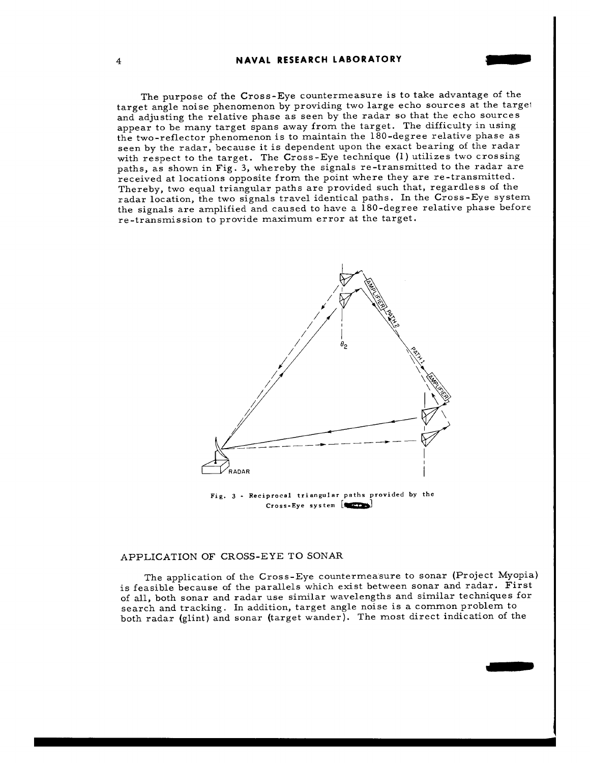The purpose of the Cross-Eye countermeasure is to take advantage of the target angle noise phenomenon by providing two large echo sources at the targel and adjusting the relative phase as seen by the radar so that the echo sources appear to be many target spans away from the target. The difficulty in using the two-reflector phenomenon is to maintain the 180-degree relative phase as seen by the radar, because it is dependent upon the exact bearing of the radar with respect to the target. The Cross-Eye technique (1) utilizes two crossing paths, as shown in Fig. 3, whereby the signals re-transmitted to the radar are received at locations opposite from the point where they are re-transmitted. Thereby, two equal triangular paths are provided such that, regardless of the radar location, the two signals travel identical paths. In the Cross-Eye system the signals are amplified and caused to have a 180-degree relative phase before re-transmission to provide maximum error at the target.



**Fig. 3 - Reciprocal triangular paths provided by the** Cross-Eye system [small

#### APPLICATION OF CROSS-EYE TO SONAR

The application of the Cross-Eye countermeasure to sonar (Project Myopia) is feasible because of the parallels which exist between sonar and radar. First of all, both sonar and radar use similar wavelengths and similar techniques for search and tracking. In addition, target angle noise is a common problem to both radar (glint) and sonar (target wander). The most direct indication of the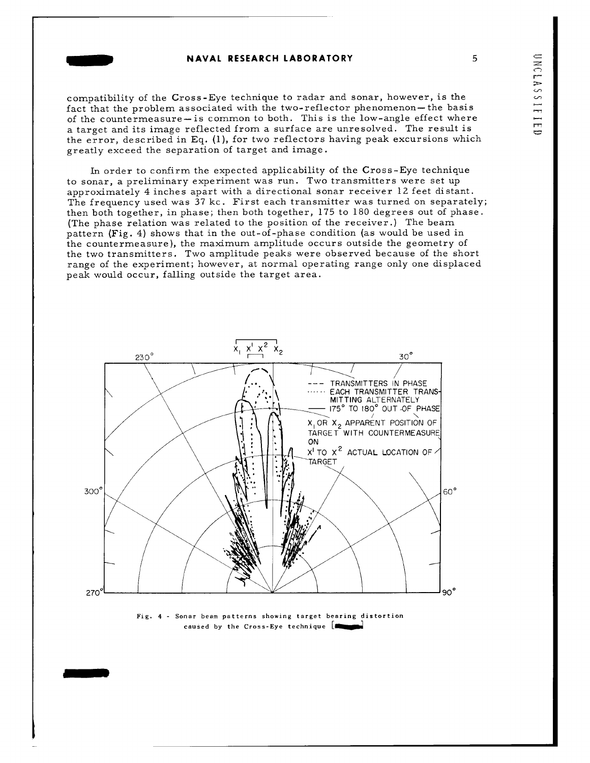### NAVAL RESEARCH LABORATORY

compatibility of the Cross-Eye technique to radar and sonar, however, is the fact that the problem associated with the two-reflector phenomenon-the basis of the countermeasure- is common to both. This is the low-angle effect where a target and its image reflected from a surface are unresolved. The result is the error, described in Eq.  $(1)$ , for two reflectors having peak excursions which greatly exceed the separation of target and image.

In order to confirm the expected applicability of the Cross-Eye technique<br>to sonar, a preliminary experiment was run. Two transmitters were set up approximately 4 inches apart with a directional sonar receiver 12 feet distant. The frequency used was 37 kc. First each transmitter was turned on separately; then both together, in phase; then both together, 175 to 180 degrees out of phase. (The phase relation was related to the position of the receiver.) The beam pattern (Fig. 4) shows that in the out-of-phase condition (as would be used in the countermeasure), the maximum amplitude occurs outside the geometry of the two transmitters. Two amplitude peaks were observed because of the short range of the experiment; however, at normal operating range only one displaced peak would occur, falling outside the target area.



**Fig. 4** - **Sonar beam patterns showing target bearing distortion** caused by the Cross-Eye technique i

5

**UNCLASS1F1ED**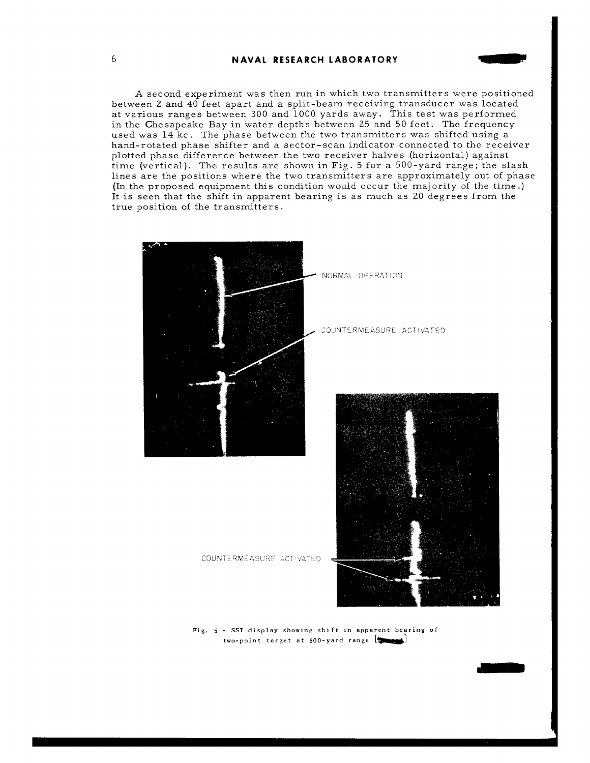A second experiment was then run in which two transmitters were positioned between 2 and 40 feet apart and a split-beam receiving transducer was located at various ranges between 300 and 1000 yards away. This test was performed in the Chesapeake Bay in water depths between 25 and 50 feet. The frequency used was 14 kc. The phase between the two transmitters was shifted using a hand-rotated phase shifter and a sector-scan indicator connected to the receiver<br>plotted phase difference between the two receiver halves (horizontal) against time (vertical). The results are shown in Fig. 5 for a 500-yard range; the slash lines are the positions where the two transmitters are approximately out of phase (In the proposed equipment this condition would occur the majority of the time.) It is seen that the shift in apparent bearing is as much as 20 degrees from the true position of the transmitters.



**Fig. 5** - SSI display showing shift in apparent bearing of two-point target at  $500$ -yard range  $\Box$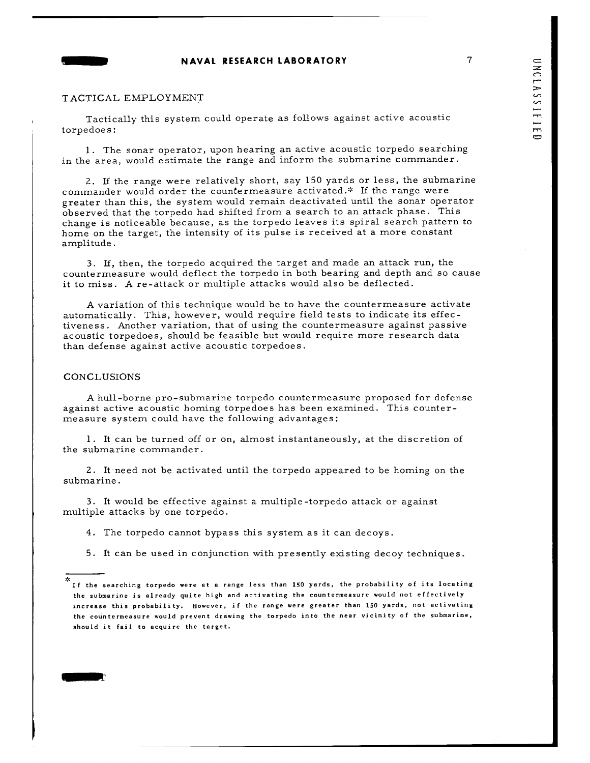### TACTICAL EMPLOYMENT

Tactically this system could operate as follows against active acoustic torpedoes: m

1. The sonar operator, upon hearing an active acoustic torpedo searching in the area, would estimate the range and inform the submarine commander.

2. If the range were relatively short, say 150 yards or less, the submarine commander would order the countermeasure activated.\* If the range were<br>greater than this, the system would remain deactivated until the sonar operator observed that the torpedo had shifted from a search to an attack phase. This change is noticeable because, as the torpedo leaves its spiral search pattern to home on the target, the intensity of its pulse is received at a more constant amplitude.

3. If, then, the torpedo acquired the target and made an attack run, the countermeasure would deflect the torpedo in both bearing and depth and so cause it to miss. A re-attack or multiple attacks would also be deflected.

A variation of this technique would be to have the countermeasure activate automatically. This, however, would require field tests to indicate its effecacoustic torpedoes, should be feasible but would require more research data than defense against active acoustic torpedoes.

#### **CONCLUSIONS**

A hull-borne pro-submarine torpedo countermeasure proposed for defense against active acoustic homing torpedoes has been examined. This countermeasure system could have the following advantages:

1. It can be turned off or on, almost instantaneously, at the discretion of the submarine commander.

2. It need not be activated until the torpedo appeared to be homing on the submarine.

3. It would be effective against a multiple-torpedo attack or against multiple attacks by one torpedo.

4. The torpedo cannot bypass this system as it can decoys.

5. It can be used in conjunction with presently existing decoy techniques.



 $\mathbf{x}$ **If the searching torpedo were at a range less than 150 yards, the probability of its locating the submarine is already quite high and activating the countermeasure would not effectively increase this probability. However, if the range were greater than 150 yards, not activating the countermeasure would prevent drawing the torpedo into the near vicinity of the submarine, should it fail to acquire the target.**